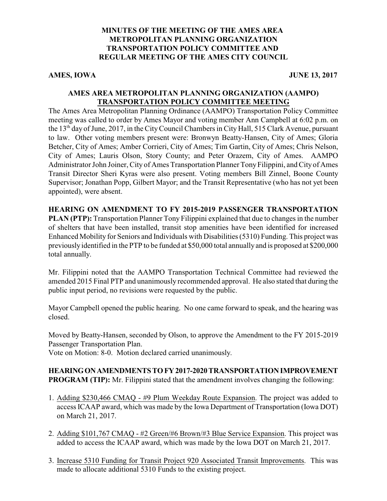## **MINUTES OF THE MEETING OF THE AMES AREA METROPOLITAN PLANNING ORGANIZATION TRANSPORTATION POLICY COMMITTEE AND REGULAR MEETING OF THE AMES CITY COUNCIL**

AMES, IOWA JUNE 13, 2017

#### **AMES AREA METROPOLITAN PLANNING ORGANIZATION (AAMPO) TRANSPORTATION POLICY COMMITTEE MEETING**

The Ames Area Metropolitan Planning Ordinance (AAMPO) Transportation Policy Committee meeting was called to order by Ames Mayor and voting member Ann Campbell at 6:02 p.m. on the 13<sup>th</sup> day of June, 2017, in the City Council Chambers in City Hall, 515 Clark Avenue, pursuant to law. Other voting members present were: Bronwyn Beatty-Hansen, City of Ames; Gloria Betcher, City of Ames; Amber Corrieri, City of Ames; Tim Gartin, City of Ames; Chris Nelson, City of Ames; Lauris Olson, Story County; and Peter Orazem, City of Ames. AAMPO Administrator John Joiner, City of Ames Transportation Planner Tony Filippini, and City of Ames Transit Director Sheri Kyras were also present. Voting members Bill Zinnel, Boone County Supervisor; Jonathan Popp, Gilbert Mayor; and the Transit Representative (who has not yet been appointed), were absent.

#### **HEARING ON AMENDMENT TO FY 2015-2019 PASSENGER TRANSPORTATION**

**PLAN (PTP):** Transportation Planner Tony Filippini explained that due to changes in the number of shelters that have been installed, transit stop amenities have been identified for increased Enhanced Mobility for Seniors and Individuals with Disabilities (5310) Funding. This project was previously identified in the PTP to be funded at \$50,000 total annually and is proposed at \$200,000 total annually.

Mr. Filippini noted that the AAMPO Transportation Technical Committee had reviewed the amended 2015 Final PTP and unanimously recommended approval. He also stated that during the public input period, no revisions were requested by the public.

Mayor Campbell opened the public hearing. No one came forward to speak, and the hearing was closed.

Moved by Beatty-Hansen, seconded by Olson, to approve the Amendment to the FY 2015-2019 Passenger Transportation Plan.

Vote on Motion: 8-0. Motion declared carried unanimously.

## **HEARINGONAMENDMENTSTOFY2017-2020TRANSPORTATIONIMPROVEMENT PROGRAM (TIP):** Mr. Filippini stated that the amendment involves changing the following:

- 1. Adding \$230,466 CMAQ #9 Plum Weekday Route Expansion. The project was added to access ICAAP award, which was made by the Iowa Department of Transportation (Iowa DOT) on March 21, 2017.
- 2. Adding \$101,767 CMAQ #2 Green/#6 Brown/#3 Blue Service Expansion. This project was added to access the ICAAP award, which was made by the Iowa DOT on March 21, 2017.
- 3. Increase 5310 Funding for Transit Project 920 Associated Transit Improvements. This was made to allocate additional 5310 Funds to the existing project.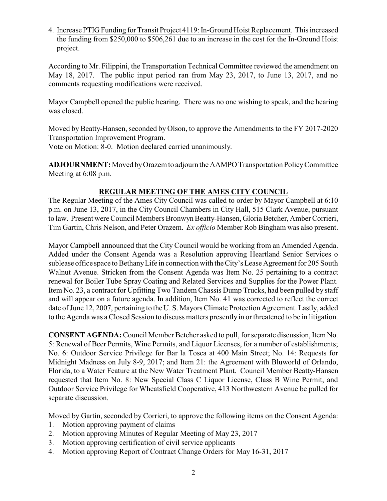4. Increase PTIG Funding for Transit Project 4119: In-Ground Hoist Replacement. This increased the funding from \$250,000 to \$506,261 due to an increase in the cost for the In-Ground Hoist project.

According to Mr. Filippini, the Transportation Technical Committee reviewed the amendment on May 18, 2017. The public input period ran from May 23, 2017, to June 13, 2017, and no comments requesting modifications were received.

Mayor Campbell opened the public hearing. There was no one wishing to speak, and the hearing was closed.

Moved by Beatty-Hansen, seconded by Olson, to approve the Amendments to the FY 2017-2020 Transportation Improvement Program.

Vote on Motion: 8-0. Motion declared carried unanimously.

**ADJOURNMENT:** Moved byOrazem to adjourn the AAMPO Transportation PolicyCommittee Meeting at 6:08 p.m.

## **REGULAR MEETING OF THE AMES CITY COUNCIL**

The Regular Meeting of the Ames City Council was called to order by Mayor Campbell at 6:10 p.m. on June 13, 2017, in the City Council Chambers in City Hall, 515 Clark Avenue, pursuant to law. Present were Council Members Bronwyn Beatty-Hansen, Gloria Betcher, Amber Corrieri, Tim Gartin, Chris Nelson, and Peter Orazem. *Ex officio* Member Rob Bingham was also present.

Mayor Campbell announced that the City Council would be working from an Amended Agenda. Added under the Consent Agenda was a Resolution approving Heartland Senior Services o sublease office space to BethanyLife in connection with the City's Lease Agreement for 205 South Walnut Avenue. Stricken from the Consent Agenda was Item No. 25 pertaining to a contract renewal for Boiler Tube Spray Coating and Related Services and Supplies for the Power Plant. Item No. 23, a contract for Upfitting Two Tandem Chassis Dump Trucks, had been pulled by staff and will appear on a future agenda. In addition, Item No. 41 was corrected to reflect the correct date of June 12, 2007, pertaining to the U. S. Mayors Climate Protection Agreement. Lastly, added to the Agenda was a Closed Session to discuss matters presently in or threatened to be in litigation.

**CONSENT AGENDA:**Council Member Betcher asked to pull, for separate discussion, Item No. 5: Renewal of Beer Permits, Wine Permits, and Liquor Licenses, for a number of establishments; No. 6: Outdoor Service Privilege for Bar la Tosca at 400 Main Street; No. 14: Requests for Midnight Madness on July 8-9, 2017; and Item 21: the Agreement with Bluworld of Orlando, Florida, to a Water Feature at the New Water Treatment Plant. Council Member Beatty-Hansen requested that Item No. 8: New Special Class C Liquor License, Class B Wine Permit, and Outdoor Service Privilege for Wheatsfield Cooperative, 413 Northwestern Avenue be pulled for separate discussion.

Moved by Gartin, seconded by Corrieri, to approve the following items on the Consent Agenda:

- 1. Motion approving payment of claims
- 2. Motion approving Minutes of Regular Meeting of May 23, 2017
- 3. Motion approving certification of civil service applicants
- 4. Motion approving Report of Contract Change Orders for May 16-31, 2017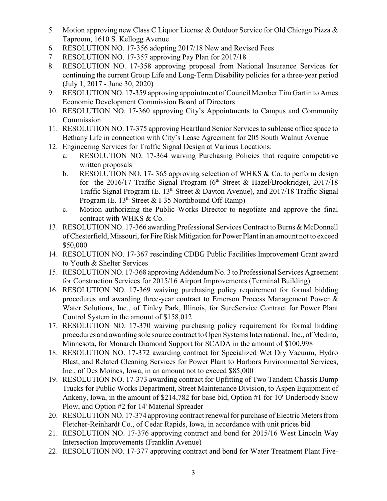- 5. Motion approving new Class C Liquor License & Outdoor Service for Old Chicago Pizza & Taproom, 1610 S. Kellogg Avenue
- 6. RESOLUTION NO. 17-356 adopting 2017/18 New and Revised Fees
- 7. RESOLUTION NO. 17-357 approving Pay Plan for 2017/18
- 8. RESOLUTION NO. 17-358 approving proposal from National Insurance Services for continuing the current Group Life and Long-Term Disability policies for a three-year period (July 1, 2017 - June 30, 2020)
- 9. RESOLUTION NO. 17-359 approving appointment of Council Member Tim Gartin to Ames Economic Development Commission Board of Directors
- 10. RESOLUTION NO. 17-360 approving City's Appointments to Campus and Community Commission
- 11. RESOLUTION NO. 17-375 approving Heartland Senior Services to sublease office space to Bethany Life in connection with City's Lease Agreement for 205 South Walnut Avenue
- 12. Engineering Services for Traffic Signal Design at Various Locations:
	- a. RESOLUTION NO. 17-364 waiving Purchasing Policies that require competitive written proposals
	- b. RESOLUTION NO. 17- 365 approving selection of WHKS & Co. to perform design for the 2016/17 Traffic Signal Program (6<sup>th</sup> Street & Hazel/Brookridge), 2017/18 Traffic Signal Program (E. 13<sup>th</sup> Street & Dayton Avenue), and 2017/18 Traffic Signal Program (E. 13<sup>th</sup> Street & I-35 Northbound Off-Ramp)
	- c. Motion authorizing the Public Works Director to negotiate and approve the final contract with WHKS & Co.
- 13. RESOLUTION NO. 17-366 awarding Professional Services Contract to Burns & McDonnell of Chesterfield, Missouri, for Fire Risk Mitigation for Power Plant in an amount not to exceed \$50,000
- 14. RESOLUTION NO. 17-367 rescinding CDBG Public Facilities Improvement Grant award to Youth & Shelter Services
- 15. RESOLUTION NO. 17-368 approving Addendum No. 3 to Professional Services Agreement for Construction Services for 2015/16 Airport Improvements (Terminal Building)
- 16. RESOLUTION NO. 17-369 waiving purchasing policy requirement for formal bidding procedures and awarding three-year contract to Emerson Process Management Power & Water Solutions, Inc., of Tinley Park, Illinois, for SureService Contract for Power Plant Control System in the amount of \$158,012
- 17. RESOLUTION NO. 17-370 waiving purchasing policy requirement for formal bidding procedures and awarding sole source contract to Open Systems International, Inc., of Medina, Minnesota, for Monarch Diamond Support for SCADA in the amount of \$100,998
- 18. RESOLUTION NO. 17-372 awarding contract for Specialized Wet Dry Vacuum, Hydro Blast, and Related Cleaning Services for Power Plant to Harbors Environmental Services, Inc., of Des Moines, Iowa, in an amount not to exceed \$85,000
- 19. RESOLUTION NO. 17-373 awarding contract for Upfitting of Two Tandem Chassis Dump Trucks for Public Works Department, Street Maintenance Division, to Aspen Equipment of Ankeny, Iowa, in the amount of \$214,782 for base bid, Option #1 for 10' Underbody Snow Plow, and Option #2 for 14' Material Spreader
- 20. RESOLUTION NO. 17-374 approving contract renewal for purchase of Electric Meters from Fletcher-Reinhardt Co., of Cedar Rapids, Iowa, in accordance with unit prices bid
- 21. RESOLUTION NO. 17-376 approving contract and bond for 2015/16 West Lincoln Way Intersection Improvements (Franklin Avenue)
- 22. RESOLUTION NO. 17-377 approving contract and bond for Water Treatment Plant Five-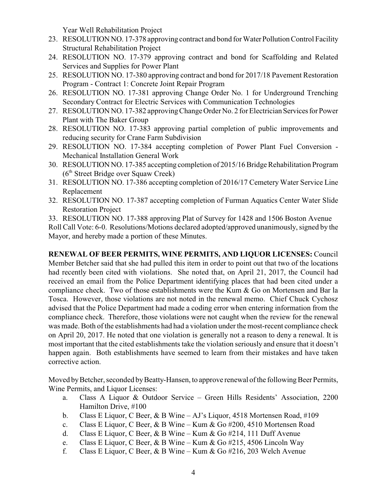Year Well Rehabilitation Project

- 23. RESOLUTION NO. 17-378 approving contract and bond for Water Pollution Control Facility Structural Rehabilitation Project
- 24. RESOLUTION NO. 17-379 approving contract and bond for Scaffolding and Related Services and Supplies for Power Plant
- 25. RESOLUTION NO. 17-380 approving contract and bond for 2017/18 Pavement Restoration Program - Contract 1: Concrete Joint Repair Program
- 26. RESOLUTION NO. 17-381 approving Change Order No. 1 for Underground Trenching Secondary Contract for Electric Services with Communication Technologies
- 27. RESOLUTION NO. 17-382 approving Change Order No. 2 for Electrician Services for Power Plant with The Baker Group
- 28. RESOLUTION NO. 17-383 approving partial completion of public improvements and reducing security for Crane Farm Subdivision
- 29. RESOLUTION NO. 17-384 accepting completion of Power Plant Fuel Conversion Mechanical Installation General Work
- 30. RESOLUTION NO. 17-385 accepting completion of 2015/16 Bridge Rehabilitation Program (6<sup>th</sup> Street Bridge over Squaw Creek)
- 31. RESOLUTION NO. 17-386 accepting completion of 2016/17 Cemetery Water Service Line Replacement
- 32. RESOLUTION NO. 17-387 accepting completion of Furman Aquatics Center Water Slide Restoration Project
- 33. RESOLUTION NO. 17-388 approving Plat of Survey for 1428 and 1506 Boston Avenue

Roll Call Vote: 6-0. Resolutions/Motions declared adopted/approved unanimously, signed by the Mayor, and hereby made a portion of these Minutes.

**RENEWAL OF BEER PERMITS, WINE PERMITS, AND LIQUOR LICENSES:** Council Member Betcher said that she had pulled this item in order to point out that two of the locations had recently been cited with violations. She noted that, on April 21, 2017, the Council had received an email from the Police Department identifying places that had been cited under a compliance check. Two of those establishments were the Kum & Go on Mortensen and Bar la Tosca. However, those violations are not noted in the renewal memo. Chief Chuck Cychosz advised that the Police Department had made a coding error when entering information from the compliance check. Therefore, those violations were not caught when the review for the renewal was made. Both of the establishments had had a violation under the most-recent compliance check on April 20, 2017. He noted that one violation is generally not a reason to deny a renewal. It is most important that the cited establishments take the violation seriously and ensure that it doesn't happen again. Both establishments have seemed to learn from their mistakes and have taken corrective action.

Moved by Betcher, seconded by Beatty-Hansen, to approve renewal of the following Beer Permits, Wine Permits, and Liquor Licenses:

- a. Class A Liquor & Outdoor Service Green Hills Residents' Association, 2200 Hamilton Drive, #100
- b. Class E Liquor, C Beer, & B Wine AJ's Liquor, 4518 Mortensen Road, #109
- c. Class E Liquor, C Beer, & B Wine Kum & Go #200, 4510 Mortensen Road
- d. Class E Liquor, C Beer, & B Wine Kum & Go #214, 111 Duff Avenue
- e. Class E Liquor, C Beer, & B Wine Kum & Go #215, 4506 Lincoln Way
- f. Class E Liquor, C Beer, & B Wine Kum & Go #216, 203 Welch Avenue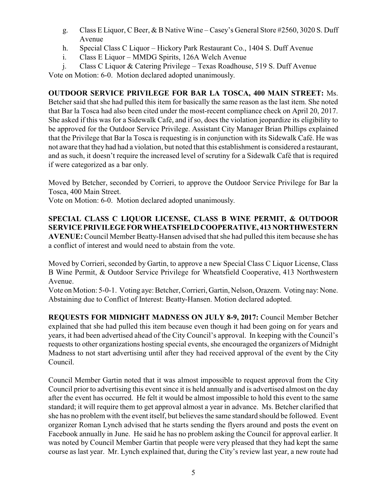- g. Class E Liquor, C Beer, & B Native Wine Casey's General Store #2560, 3020 S. Duff Avenue
- h. Special Class C Liquor Hickory Park Restaurant Co., 1404 S. Duff Avenue
- i. Class E Liquor MMDG Spirits, 126A Welch Avenue
- j. Class C Liquor & Catering Privilege Texas Roadhouse, 519 S. Duff Avenue Vote on Motion: 6-0. Motion declared adopted unanimously.

**OUTDOOR SERVICE PRIVILEGE FOR BAR LA TOSCA, 400 MAIN STREET:** Ms. Betcher said that she had pulled this item for basically the same reason as the last item. She noted that Bar la Tosca had also been cited under the most-recent compliance check on April 20, 2017. She asked if this was for a Sidewalk Café, and if so, does the violation jeopardize its eligibility to be approved for the Outdoor Service Privilege. Assistant City Manager Brian Phillips explained that the Privilege that Bar la Tosca is requesting is in conjunction with its Sidewalk Café. He was not aware that they had had a violation, but noted that this establishment is considered a restaurant, and as such, it doesn't require the increased level of scrutiny for a Sidewalk Café that is required if were categorized as a bar only.

Moved by Betcher, seconded by Corrieri, to approve the Outdoor Service Privilege for Bar la Tosca, 400 Main Street.

Vote on Motion: 6-0. Motion declared adopted unanimously.

**SPECIAL CLASS C LIQUOR LICENSE, CLASS B WINE PERMIT, & OUTDOOR SERVICE PRIVILEGEFORWHEATSFIELDCOOPERATIVE, 413 NORTHWESTERN AVENUE:** Council Member Beatty-Hansen advised that she had pulled this item because she has a conflict of interest and would need to abstain from the vote.

Moved by Corrieri, seconded by Gartin, to approve a new Special Class C Liquor License, Class B Wine Permit, & Outdoor Service Privilege for Wheatsfield Cooperative, 413 Northwestern Avenue.

Vote on Motion: 5-0-1. Voting aye: Betcher, Corrieri, Gartin, Nelson, Orazem. Voting nay: None. Abstaining due to Conflict of Interest: Beatty-Hansen. Motion declared adopted.

**REQUESTS FOR MIDNIGHT MADNESS ON JULY 8-9, 2017:** Council Member Betcher explained that she had pulled this item because even though it had been going on for years and years, it had been advertised ahead of the City Council's approval. In keeping with the Council's requests to other organizations hosting special events, she encouraged the organizers of Midnight Madness to not start advertising until after they had received approval of the event by the City Council.

Council Member Gartin noted that it was almost impossible to request approval from the City Council prior to advertising this event since it is held annually and is advertised almost on the day after the event has occurred. He felt it would be almost impossible to hold this event to the same standard; it will require them to get approval almost a year in advance. Ms. Betcher clarified that she has no problem with the event itself, but believes the same standard should be followed. Event organizer Roman Lynch advised that he starts sending the flyers around and posts the event on Facebook annually in June. He said he has no problem asking the Council for approval earlier. It was noted by Council Member Gartin that people were very pleased that they had kept the same course as last year. Mr. Lynch explained that, during the City's review last year, a new route had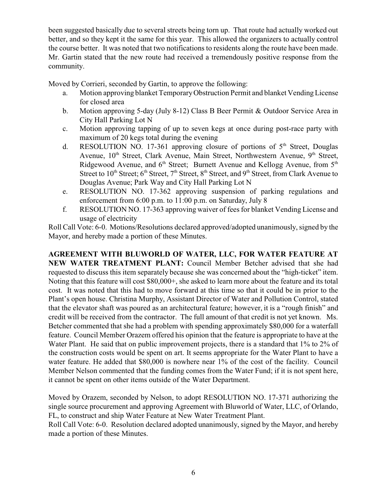been suggested basically due to several streets being torn up. That route had actually worked out better, and so they kept it the same for this year. This allowed the organizers to actually control the course better. It was noted that two notifications to residents along the route have been made. Mr. Gartin stated that the new route had received a tremendously positive response from the community.

Moved by Corrieri, seconded by Gartin, to approve the following:

- a. Motion approving blanket TemporaryObstruction Permit and blanket VendingLicense for closed area
- b. Motion approving 5-day (July 8-12) Class B Beer Permit & Outdoor Service Area in City Hall Parking Lot N
- c. Motion approving tapping of up to seven kegs at once during post-race party with maximum of 20 kegs total during the evening
- d. RESOLUTION NO. 17-361 approving closure of portions of 5<sup>th</sup> Street, Douglas Avenue, 10<sup>th</sup> Street, Clark Avenue, Main Street, Northwestern Avenue, 9<sup>th</sup> Street, Ridgewood Avenue, and 6<sup>th</sup> Street; Burnett Avenue and Kellogg Avenue, from 5<sup>th</sup> Street to  $10^{\text{th}}$  Street;  $6^{\text{th}}$  Street,  $7^{\text{th}}$  Street,  $8^{\text{th}}$  Street, and  $9^{\text{th}}$  Street, from Clark Avenue to Douglas Avenue; Park Way and City Hall Parking Lot N
- e. RESOLUTION NO. 17-362 approving suspension of parking regulations and enforcement from 6:00 p.m. to 11:00 p.m. on Saturday, July 8
- f. RESOLUTION NO. 17-363 approving waiver of fees for blanket Vending License and usage of electricity

Roll Call Vote: 6-0. Motions/Resolutions declared approved/adopted unanimously, signed by the Mayor, and hereby made a portion of these Minutes.

**AGREEMENT WITH BLUWORLD OF WATER, LLC, FOR WATER FEATURE AT NEW WATER TREATMENT PLANT:** Council Member Betcher advised that she had requested to discuss this item separately because she was concerned about the "high-ticket" item. Noting that this feature will cost \$80,000+, she asked to learn more about the feature and its total cost. It was noted that this had to move forward at this time so that it could be in prior to the Plant's open house. Christina Murphy, Assistant Director of Water and Pollution Control, stated that the elevator shaft was poured as an architectural feature; however, it is a "rough finish" and credit will be received from the contractor. The full amount of that credit is not yet known. Ms. Betcher commented that she had a problem with spending approximately \$80,000 for a waterfall feature. Council Member Orazem offered his opinion that the feature is appropriate to have at the Water Plant. He said that on public improvement projects, there is a standard that 1% to 2% of the construction costs would be spent on art. It seems appropriate for the Water Plant to have a water feature. He added that \$80,000 is nowhere near 1% of the cost of the facility. Council Member Nelson commented that the funding comes from the Water Fund; if it is not spent here, it cannot be spent on other items outside of the Water Department.

Moved by Orazem, seconded by Nelson, to adopt RESOLUTION NO. 17-371 authorizing the single source procurement and approving Agreement with Bluworld of Water, LLC, of Orlando, FL, to construct and ship Water Feature at New Water Treatment Plant. Roll Call Vote: 6-0. Resolution declared adopted unanimously, signed by the Mayor, and hereby made a portion of these Minutes.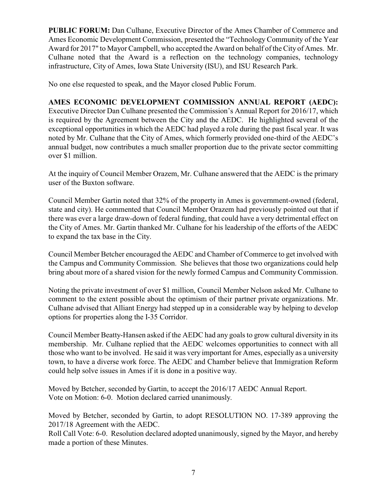**PUBLIC FORUM:** Dan Culhane, Executive Director of the Ames Chamber of Commerce and Ames Economic Development Commission, presented the "Technology Community of the Year Award for 2017" to Mayor Campbell, who accepted the Award on behalf of the City of Ames. Mr. Culhane noted that the Award is a reflection on the technology companies, technology infrastructure, City of Ames, Iowa State University (ISU), and ISU Research Park.

No one else requested to speak, and the Mayor closed Public Forum.

## **AMES ECONOMIC DEVELOPMENT COMMISSION ANNUAL REPORT (AEDC):**

Executive Director Dan Culhane presented the Commission's Annual Report for 2016/17, which is required by the Agreement between the City and the AEDC. He highlighted several of the exceptional opportunities in which the AEDC had played a role during the past fiscal year. It was noted by Mr. Culhane that the City of Ames, which formerly provided one-third of the AEDC's annual budget, now contributes a much smaller proportion due to the private sector committing over \$1 million.

At the inquiry of Council Member Orazem, Mr. Culhane answered that the AEDC is the primary user of the Buxton software.

Council Member Gartin noted that 32% of the property in Ames is government-owned (federal, state and city). He commented that Council Member Orazem had previously pointed out that if there was ever a large draw-down of federal funding, that could have a very detrimental effect on the City of Ames. Mr. Gartin thanked Mr. Culhane for his leadership of the efforts of the AEDC to expand the tax base in the City.

Council Member Betcher encouraged the AEDC and Chamber of Commerce to get involved with the Campus and Community Commission. She believes that those two organizations could help bring about more of a shared vision for the newly formed Campus and Community Commission.

Noting the private investment of over \$1 million, Council Member Nelson asked Mr. Culhane to comment to the extent possible about the optimism of their partner private organizations. Mr. Culhane advised that Alliant Energy had stepped up in a considerable way by helping to develop options for properties along the I-35 Corridor.

Council Member Beatty-Hansen asked if the AEDC had any goals to grow cultural diversity in its membership. Mr. Culhane replied that the AEDC welcomes opportunities to connect with all those who want to be involved. He said it was very important for Ames, especially as a university town, to have a diverse work force. The AEDC and Chamber believe that Immigration Reform could help solve issues in Ames if it is done in a positive way.

Moved by Betcher, seconded by Gartin, to accept the 2016/17 AEDC Annual Report. Vote on Motion: 6-0. Motion declared carried unanimously.

Moved by Betcher, seconded by Gartin, to adopt RESOLUTION NO. 17-389 approving the 2017/18 Agreement with the AEDC.

Roll Call Vote: 6-0. Resolution declared adopted unanimously, signed by the Mayor, and hereby made a portion of these Minutes.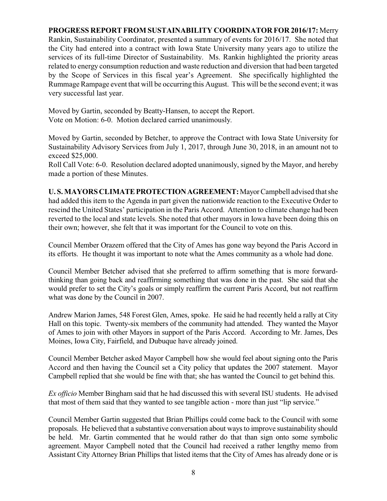## **PROGRESS REPORT FROM SUSTAINABILITY COORDINATOR FOR 2016/17:** Merry Rankin, Sustainability Coordinator, presented a summary of events for 2016/17. She noted that the City had entered into a contract with Iowa State University many years ago to utilize the services of its full-time Director of Sustainability. Ms. Rankin highlighted the priority areas related to energy consumption reduction and waste reduction and diversion that had been targeted by the Scope of Services in this fiscal year's Agreement. She specifically highlighted the Rummage Rampage event that will be occurring this August. This will be the second event; it was very successful last year.

Moved by Gartin, seconded by Beatty-Hansen, to accept the Report. Vote on Motion: 6-0. Motion declared carried unanimously.

Moved by Gartin, seconded by Betcher, to approve the Contract with Iowa State University for Sustainability Advisory Services from July 1, 2017, through June 30, 2018, in an amount not to exceed \$25,000.

Roll Call Vote: 6-0. Resolution declared adopted unanimously, signed by the Mayor, and hereby made a portion of these Minutes.

**U. S. MAYORS CLIMATEPROTECTIONAGREEMENT:**MayorCampbell advised that she had added this item to the Agenda in part given the nationwide reaction to the Executive Order to rescind the United States' participation in the Paris Accord. Attention to climate change had been reverted to the local and state levels. She noted that other mayors in Iowa have been doing this on their own; however, she felt that it was important for the Council to vote on this.

Council Member Orazem offered that the City of Ames has gone way beyond the Paris Accord in its efforts. He thought it was important to note what the Ames community as a whole had done.

Council Member Betcher advised that she preferred to affirm something that is more forwardthinking than going back and reaffirming something that was done in the past. She said that she would prefer to set the City's goals or simply reaffirm the current Paris Accord, but not reaffirm what was done by the Council in 2007.

Andrew Marion James, 548 Forest Glen, Ames, spoke. He said he had recently held a rally at City Hall on this topic. Twenty-six members of the community had attended. They wanted the Mayor of Ames to join with other Mayors in support of the Paris Accord. According to Mr. James, Des Moines, Iowa City, Fairfield, and Dubuque have already joined.

Council Member Betcher asked Mayor Campbell how she would feel about signing onto the Paris Accord and then having the Council set a City policy that updates the 2007 statement. Mayor Campbell replied that she would be fine with that; she has wanted the Council to get behind this.

*Ex officio* Member Bingham said that he had discussed this with several ISU students. He advised that most of them said that they wanted to see tangible action - more than just "lip service."

Council Member Gartin suggested that Brian Phillips could come back to the Council with some proposals. He believed that a substantive conversation about waysto improve sustainability should be held. Mr. Gartin commented that he would rather do that than sign onto some symbolic agreement. Mayor Campbell noted that the Council had received a rather lengthy memo from Assistant City Attorney Brian Phillips that listed items that the City of Ames has already done or is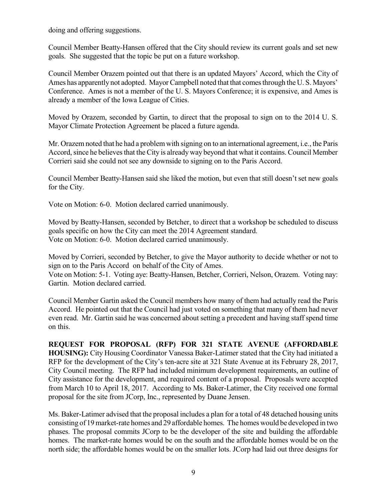doing and offering suggestions.

Council Member Beatty-Hansen offered that the City should review its current goals and set new goals. She suggested that the topic be put on a future workshop.

Council Member Orazem pointed out that there is an updated Mayors' Accord, which the City of Ames has apparently not adopted. Mayor Campbell noted that that comes through the U.S. Mayors' Conference. Ames is not a member of the U. S. Mayors Conference; it is expensive, and Ames is already a member of the Iowa League of Cities.

Moved by Orazem, seconded by Gartin, to direct that the proposal to sign on to the 2014 U. S. Mayor Climate Protection Agreement be placed a future agenda.

Mr. Orazemnoted that he had a problemwith signing on to an international agreement, i.e., the Paris Accord, since he believes that the City is already way beyond that what it contains. Council Member Corrieri said she could not see any downside to signing on to the Paris Accord.

Council Member Beatty-Hansen said she liked the motion, but even that still doesn't set new goals for the City.

Vote on Motion: 6-0. Motion declared carried unanimously.

Moved by Beatty-Hansen, seconded by Betcher, to direct that a workshop be scheduled to discuss goals specific on how the City can meet the 2014 Agreement standard. Vote on Motion: 6-0. Motion declared carried unanimously.

Moved by Corrieri, seconded by Betcher, to give the Mayor authority to decide whether or not to sign on to the Paris Accord on behalf of the City of Ames.

Vote on Motion: 5-1. Voting aye: Beatty-Hansen, Betcher, Corrieri, Nelson, Orazem. Voting nay: Gartin. Motion declared carried.

Council Member Gartin asked the Council members how many of them had actually read the Paris Accord. He pointed out that the Council had just voted on something that many of them had never even read. Mr. Gartin said he was concerned about setting a precedent and having staff spend time on this.

**REQUEST FOR PROPOSAL (RFP) FOR 321 STATE AVENUE (AFFORDABLE HOUSING):** City Housing Coordinator Vanessa Baker-Latimer stated that the City had initiated a RFP for the development of the City's ten-acre site at 321 State Avenue at its February 28, 2017, City Council meeting. The RFP had included minimum development requirements, an outline of City assistance for the development, and required content of a proposal. Proposals were accepted from March 10 to April 18, 2017. According to Ms. Baker-Latimer, the City received one formal proposal for the site from JCorp, Inc., represented by Duane Jensen.

Ms. Baker-Latimer advised that the proposal includes a plan for a total of 48 detached housing units consisting of 19market-rate homes and 29 affordable homes. The homes would be developed in two phases. The proposal commits JCorp to be the developer of the site and building the affordable homes. The market-rate homes would be on the south and the affordable homes would be on the north side; the affordable homes would be on the smaller lots. JCorp had laid out three designs for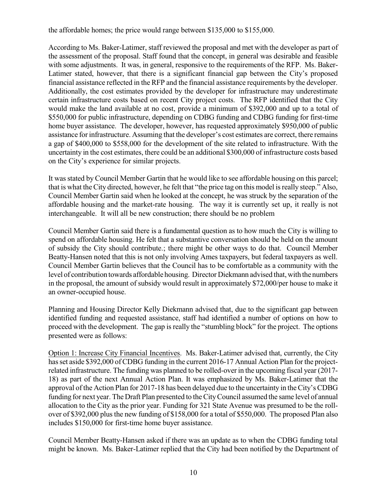the affordable homes; the price would range between \$135,000 to \$155,000.

According to Ms. Baker-Latimer, staff reviewed the proposal and met with the developer as part of the assessment of the proposal. Staff found that the concept, in general was desirable and feasible with some adjustments. It was, in general, responsive to the requirements of the RFP. Ms. Baker-Latimer stated, however, that there is a significant financial gap between the City's proposed financial assistance reflected in the RFP and the financial assistance requirements by the developer. Additionally, the cost estimates provided by the developer for infrastructure may underestimate certain infrastructure costs based on recent City project costs. The RFP identified that the City would make the land available at no cost, provide a minimum of \$392,000 and up to a total of \$550,000 for public infrastructure, depending on CDBG funding and CDBG funding for first-time home buyer assistance. The developer, however, has requested approximately \$950,000 of public assistance for infrastructure. Assuming that the developer's cost estimates are correct, there remains a gap of \$400,000 to \$558,000 for the development of the site related to infrastructure. With the uncertainty in the cost estimates, there could be an additional \$300,000 of infrastructure costs based on the City's experience for similar projects.

It was stated by Council Member Gartin that he would like to see affordable housing on this parcel; that is what the City directed, however, he felt that "the price tag on this model is really steep." Also, Council Member Gartin said when he looked at the concept, he was struck by the separation of the affordable housing and the market-rate housing. The way it is currently set up, it really is not interchangeable. It will all be new construction; there should be no problem

Council Member Gartin said there is a fundamental question as to how much the City is willing to spend on affordable housing. He felt that a substantive conversation should be held on the amount of subsidy the City should contribute.; there might be other ways to do that. Council Member Beatty-Hansen noted that this is not only involving Ames taxpayers, but federal taxpayers as well. Council Member Gartin believes that the Council has to be comfortable as a community with the level of contribution towards affordable housing. Director Diekmann advised that, with the numbers in the proposal, the amount of subsidy would result in approximately \$72,000/per house to make it an owner-occupied house.

Planning and Housing Director Kelly Diekmann advised that, due to the significant gap between identified funding and requested assistance, staff had identified a number of options on how to proceed with the development. The gap is really the "stumbling block" for the project. The options presented were as follows:

Option 1: Increase City Financial Incentives. Ms. Baker-Latimer advised that, currently, the City has set aside \$392,000 of CDBG funding in the current 2016-17 Annual Action Plan for the projectrelated infrastructure. The funding was planned to be rolled-over in the upcoming fiscal year (2017- 18) as part of the next Annual Action Plan. It was emphasized by Ms. Baker-Latimer that the approval of the Action Plan for 2017-18 has been delayed due to the uncertainty in theCity's CDBG funding for next year. The Draft Plan presented to the City Council assumed the same level of annual allocation to the City as the prior year. Funding for 321 State Avenue was presumed to be the rollover of \$392,000 plus the new funding of \$158,000 for a total of \$550,000. The proposed Plan also includes \$150,000 for first-time home buyer assistance.

Council Member Beatty-Hansen asked if there was an update as to when the CDBG funding total might be known. Ms. Baker-Latimer replied that the City had been notified by the Department of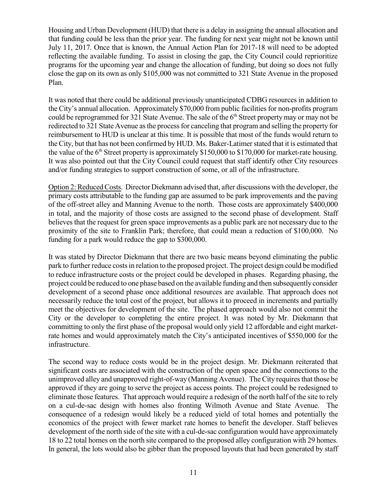Housing and Urban Development (HUD) that there is a delay in assigning the annual allocation and that funding could be less than the prior year. The funding for next year might not be known until July 11, 2017. Once that is known, the Annual Action Plan for 2017-18 will need to be adopted reflecting the available funding. To assist in closing the gap, the City Council could reprioritize programs for the upcoming year and change the allocation of funding, but doing so does not fully close the gap on its own as only \$105,000 was not committed to 321 State Avenue in the proposed Plan.

It was noted that there could be additional previously unanticipated CDBG resources in addition to the City's annual allocation. Approximately \$70,000 from public facilities for non-profits program could be reprogrammed for 321 State Avenue. The sale of the  $6<sup>th</sup>$  Street property may or may not be redirected to 321 State Avenue as the process for canceling that program and selling the property for reimbursement to HUD is unclear at this time. It is possible that most of the funds would return to the City, but that has not been confirmed by HUD. Ms. Baker-Latimer stated that it is estimated that the value of the  $6<sup>th</sup>$  Street property is approximately \$150,000 to \$170,000 for market-rate housing. It was also pointed out that the City Council could request that staff identify other City resources and/or funding strategies to support construction of some, or all of the infrastructure.

Option 2: Reduced Costs. Director Diekmann advised that, after discussions with the developer, the primary costs attributable to the funding gap are assumed to be park improvements and the paving of the off-street alley and Manning Avenue to the north. Those costs are approximately \$400,000 in total, and the majority of those costs are assigned to the second phase of development. Staff believes that the request for green space improvements as a public park are not necessary due to the proximity of the site to Franklin Park; therefore, that could mean a reduction of \$100,000. No funding for a park would reduce the gap to \$300,000.

It was stated by Director Diekmann that there are two basic means beyond eliminating the public park to further reduce costsin relation to the proposed project. The project design could be modified to reduce infrastructure costs or the project could be developed in phases. Regarding phasing, the project could be reduced to one phase based on the available funding and then subsequently consider development of a second phase once additional resources are available. That approach does not necessarily reduce the total cost of the project, but allows it to proceed in increments and partially meet the objectives for development of the site. The phased approach would also not commit the City or the developer to completing the entire project. It was noted by Mr. Diekmann that committing to only the first phase of the proposal would only yield 12 affordable and eight marketrate homes and would approximately match the City's anticipated incentives of \$550,000 for the infrastructure.

The second way to reduce costs would be in the project design. Mr. Diekmann reiterated that significant costs are associated with the construction of the open space and the connections to the unimproved alley and unapproved right-of-way (Manning Avenue). The City requires that those be approved if they are going to serve the project as access points. The project could be redesigned to eliminate those features. That approach would require a redesign of the north half of the site to rely on a cul-de-sac design with homes also fronting Wilmoth Avenue and State Avenue. The consequence of a redesign would likely be a reduced yield of total homes and potentially the economics of the project with fewer market rate homes to benefit the developer. Staff believes development of the north side of the site with a cul-de-sac configuration would have approximately 18 to 22 total homes on the north site compared to the proposed alley configuration with 29 homes. In general, the lots would also be gibber than the proposed layouts that had been generated by staff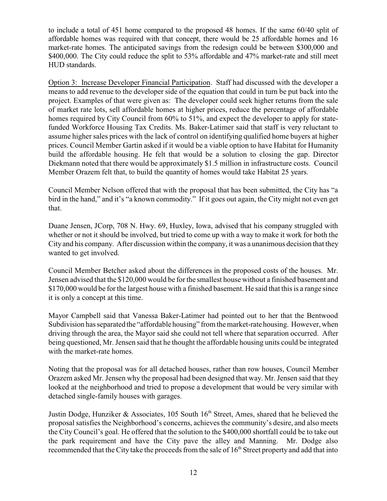to include a total of 451 home compared to the proposed 48 homes. If the same 60/40 split of affordable homes was required with that concept, there would be 25 affordable homes and 16 market-rate homes. The anticipated savings from the redesign could be between \$300,000 and \$400,000. The City could reduce the split to 53% affordable and 47% market-rate and still meet HUD standards.

Option 3: Increase Developer Financial Participation. Staff had discussed with the developer a means to add revenue to the developer side of the equation that could in turn be put back into the project. Examples of that were given as: The developer could seek higher returns from the sale of market rate lots, sell affordable homes at higher prices, reduce the percentage of affordable homes required by City Council from  $60\%$  to 51%, and expect the developer to apply for statefunded Workforce Housing Tax Credits. Ms. Baker-Latimer said that staff is very reluctant to assume higher sales prices with the lack of control on identifying qualified home buyers at higher prices. Council Member Gartin asked if it would be a viable option to have Habitat for Humanity build the affordable housing. He felt that would be a solution to closing the gap. Director Diekmann noted that there would be approximately \$1.5 million in infrastructure costs. Council Member Orazem felt that, to build the quantity of homes would take Habitat 25 years.

Council Member Nelson offered that with the proposal that has been submitted, the City has "a bird in the hand," and it's "a known commodity." If it goes out again, the City might not even get that.

Duane Jensen, JCorp, 708 N. Hwy. 69, Huxley, Iowa, advised that his company struggled with whether or not it should be involved, but tried to come up with a way to make it work for both the City and his company. After discussion within the company, it was a unanimous decision that they wanted to get involved.

Council Member Betcher asked about the differences in the proposed costs of the houses. Mr. Jensen advised that the \$120,000 would be for the smallest house without a finished basement and \$170,000 would be for the largest house with a finished basement. He said that this is a range since it is only a concept at this time.

Mayor Campbell said that Vanessa Baker-Latimer had pointed out to her that the Bentwood Subdivision has separated the "affordable housing" from the market-rate housing. However, when driving through the area, the Mayor said she could not tell where that separation occurred. After being questioned, Mr. Jensen said that he thought the affordable housing units could be integrated with the market-rate homes.

Noting that the proposal was for all detached houses, rather than row houses, Council Member Orazem asked Mr. Jensen why the proposal had been designed that way. Mr. Jensen said that they looked at the neighborhood and tried to propose a development that would be very similar with detached single-family houses with garages.

Justin Dodge, Hunziker & Associates, 105 South  $16<sup>th</sup>$  Street, Ames, shared that he believed the proposal satisfies the Neighborhood's concerns, achieves the community's desire, and also meets the City Council's goal. He offered that the solution to the \$400,000 shortfall could be to take out the park requirement and have the City pave the alley and Manning. Mr. Dodge also recommended that the City take the proceeds from the sale of  $16<sup>th</sup>$  Street property and add that into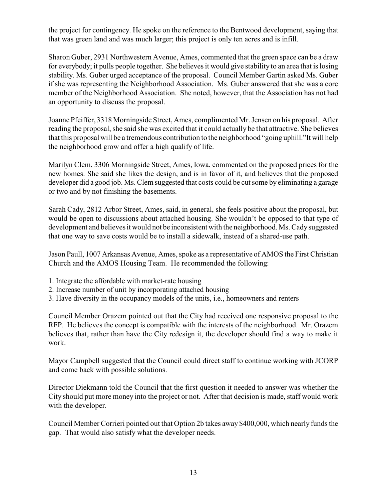the project for contingency. He spoke on the reference to the Bentwood development, saying that that was green land and was much larger; this project is only ten acres and is infill.

Sharon Guber, 2931 Northwestern Avenue, Ames, commented that the green space can be a draw for everybody; it pulls people together. She believes it would give stability to an area that is losing stability. Ms. Guber urged acceptance of the proposal. Council Member Gartin asked Ms. Guber if she was representing the Neighborhood Association. Ms. Guber answered that she was a core member of the Neighborhood Association. She noted, however, that the Association has not had an opportunity to discuss the proposal.

Joanne Pfeiffer, 3318 Morningside Street, Ames, complimented Mr. Jensen on his proposal. After reading the proposal, she said she was excited that it could actually be that attractive. She believes that this proposal will be a tremendous contribution to the neighborhood "going uphill."It will help the neighborhood grow and offer a high qualify of life.

Marilyn Clem, 3306 Morningside Street, Ames, Iowa, commented on the proposed prices for the new homes. She said she likes the design, and is in favor of it, and believes that the proposed developer did a good job. Ms. Clem suggested that costs could be cut some by eliminating a garage or two and by not finishing the basements.

Sarah Cady, 2812 Arbor Street, Ames, said, in general, she feels positive about the proposal, but would be open to discussions about attached housing. She wouldn't be opposed to that type of development and believes it would not be inconsistent with the neighborhood. Ms. Cady suggested that one way to save costs would be to install a sidewalk, instead of a shared-use path.

Jason Paull, 1007 Arkansas Avenue, Ames, spoke as a representative of AMOS the First Christian Church and the AMOS Housing Team. He recommended the following:

- 1. Integrate the affordable with market-rate housing
- 2. Increase number of unit by incorporating attached housing
- 3. Have diversity in the occupancy models of the units, i.e., homeowners and renters

Council Member Orazem pointed out that the City had received one responsive proposal to the RFP. He believes the concept is compatible with the interests of the neighborhood. Mr. Orazem believes that, rather than have the City redesign it, the developer should find a way to make it work.

Mayor Campbell suggested that the Council could direct staff to continue working with JCORP and come back with possible solutions.

Director Diekmann told the Council that the first question it needed to answer was whether the City should put more money into the project or not. After that decision is made, staff would work with the developer.

Council Member Corrieri pointed out that Option 2b takes away \$400,000, which nearly funds the gap. That would also satisfy what the developer needs.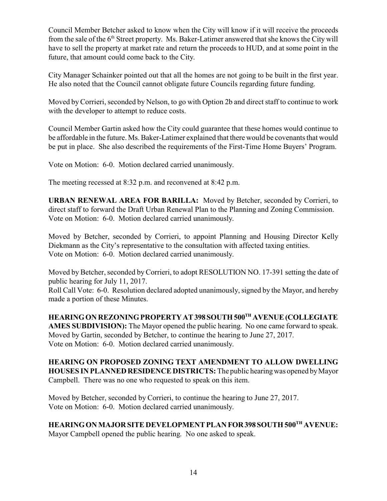Council Member Betcher asked to know when the City will know if it will receive the proceeds from the sale of the 6<sup>th</sup> Street property. Ms. Baker-Latimer answered that she knows the City will have to sell the property at market rate and return the proceeds to HUD, and at some point in the future, that amount could come back to the City.

City Manager Schainker pointed out that all the homes are not going to be built in the first year. He also noted that the Council cannot obligate future Councils regarding future funding.

Moved by Corrieri, seconded by Nelson, to go with Option 2b and direct staff to continue to work with the developer to attempt to reduce costs.

Council Member Gartin asked how the City could guarantee that these homes would continue to be affordable in the future. Ms. Baker-Latimer explained that there would be covenants that would be put in place. She also described the requirements of the First-Time Home Buyers' Program.

Vote on Motion: 6-0. Motion declared carried unanimously.

The meeting recessed at 8:32 p.m. and reconvened at 8:42 p.m.

**URBAN RENEWAL AREA FOR BARILLA:** Moved by Betcher, seconded by Corrieri, to direct staff to forward the Draft Urban Renewal Plan to the Planning and Zoning Commission. Vote on Motion: 6-0. Motion declared carried unanimously.

Moved by Betcher, seconded by Corrieri, to appoint Planning and Housing Director Kelly Diekmann as the City's representative to the consultation with affected taxing entities. Vote on Motion: 6-0. Motion declared carried unanimously.

Moved by Betcher, seconded by Corrieri, to adopt RESOLUTION NO. 17-391 setting the date of public hearing for July 11, 2017.

Roll Call Vote: 6-0. Resolution declared adopted unanimously, signed by the Mayor, and hereby made a portion of these Minutes.

**HEARINGON REZONINGPROPERTYAT398 SOUTH500 TH AVENUE(COLLEGIATE AMES SUBDIVISION):** The Mayor opened the public hearing. No one came forward to speak. Moved by Gartin, seconded by Betcher, to continue the hearing to June 27, 2017. Vote on Motion: 6-0. Motion declared carried unanimously.

**HEARING ON PROPOSED ZONING TEXT AMENDMENT TO ALLOW DWELLING HOUSES IN PLANNEDRESIDENCE DISTRICTS:** The public hearingwas opened byMayor Campbell. There was no one who requested to speak on this item.

Moved by Betcher, seconded by Corrieri, to continue the hearing to June 27, 2017. Vote on Motion: 6-0. Motion declared carried unanimously.

## **HEARINGON MAJOR SITE DEVELOPMENT PLAN FOR398 SOUTH 500TH AVENUE:**

Mayor Campbell opened the public hearing. No one asked to speak.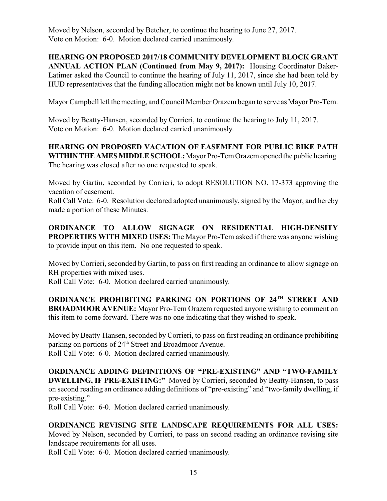Moved by Nelson, seconded by Betcher, to continue the hearing to June 27, 2017. Vote on Motion: 6-0. Motion declared carried unanimously.

**HEARING ON PROPOSED 2017/18 COMMUNITY DEVELOPMENT BLOCK GRANT ANNUAL ACTION PLAN (Continued from May 9, 2017):** Housing Coordinator Baker-Latimer asked the Council to continue the hearing of July 11, 2017, since she had been told by HUD representatives that the funding allocation might not be known until July 10, 2017.

Mayor Campbell left themeeting, and Council Member Orazem began to serve as Mayor Pro-Tem.

Moved by Beatty-Hansen, seconded by Corrieri, to continue the hearing to July 11, 2017. Vote on Motion: 6-0. Motion declared carried unanimously.

**HEARING ON PROPOSED VACATION OF EASEMENT FOR PUBLIC BIKE PATH WITHINTHEAMESMIDDLESCHOOL:**Mayor Pro-Tem Orazem opened the public hearing. The hearing was closed after no one requested to speak.

Moved by Gartin, seconded by Corrieri, to adopt RESOLUTION NO. 17-373 approving the vacation of easement.

Roll Call Vote: 6-0. Resolution declared adopted unanimously, signed by the Mayor, and hereby made a portion of these Minutes.

**ORDINANCE TO ALLOW SIGNAGE ON RESIDENTIAL HIGH-DENSITY PROPERTIES WITH MIXED USES:** The Mayor Pro-Tem asked if there was anyone wishing to provide input on this item. No one requested to speak.

Moved by Corrieri, seconded by Gartin, to pass on first reading an ordinance to allow signage on RH properties with mixed uses.

Roll Call Vote: 6-0. Motion declared carried unanimously.

**ORDINANCE PROHIBITING PARKING ON PORTIONS OF 24TH STREET AND BROADMOOR AVENUE:** Mayor Pro-Tem Orazem requested anyone wishing to comment on this item to come forward. There was no one indicating that they wished to speak.

Moved by Beatty-Hansen, seconded by Corrieri, to pass on first reading an ordinance prohibiting parking on portions of 24<sup>th</sup> Street and Broadmoor Avenue. Roll Call Vote: 6-0. Motion declared carried unanimously.

**ORDINANCE ADDING DEFINITIONS OF "PRE-EXISTING" AND "TWO-FAMILY DWELLING, IF PRE-EXISTING:"** Moved by Corrieri, seconded by Beatty-Hansen, to pass on second reading an ordinance adding definitions of "pre-existing" and "two-family dwelling, if pre-existing."

Roll Call Vote: 6-0. Motion declared carried unanimously.

# **ORDINANCE REVISING SITE LANDSCAPE REQUIREMENTS FOR ALL USES:**

Moved by Nelson, seconded by Corrieri, to pass on second reading an ordinance revising site landscape requirements for all uses.

Roll Call Vote: 6-0. Motion declared carried unanimously.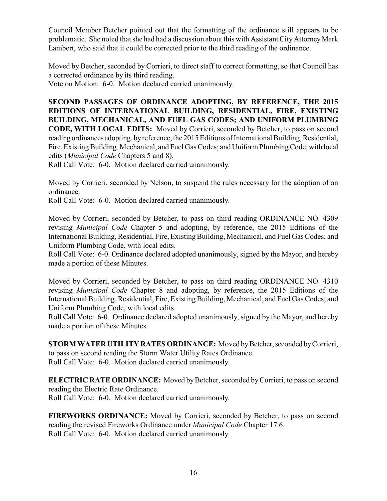Council Member Betcher pointed out that the formatting of the ordinance still appears to be problematic. She noted that she had had a discussion about this with Assistant City Attorney Mark Lambert, who said that it could be corrected prior to the third reading of the ordinance.

Moved by Betcher, seconded by Corrieri, to direct staff to correct formatting, so that Council has a corrected ordinance by its third reading.

Vote on Motion: 6-0. Motion declared carried unanimously.

**SECOND PASSAGES OF ORDINANCE ADOPTING, BY REFERENCE, THE 2015 EDITIONS OF INTERNATIONAL BUILDING, RESIDENTIAL, FIRE, EXISTING BUILDING, MECHANICAL, AND FUEL GAS CODES; AND UNIFORM PLUMBING CODE, WITH LOCAL EDITS:** Moved by Corrieri, seconded by Betcher, to pass on second reading ordinances adopting, byreference, the 2015 Editions of International Building, Residential, Fire, Existing Building, Mechanical, and Fuel Gas Codes; and Uniform Plumbing Code, with local edits (*Municipal Code* Chapters 5 and 8).

Roll Call Vote: 6-0. Motion declared carried unanimously.

Moved by Corrieri, seconded by Nelson, to suspend the rules necessary for the adoption of an ordinance.

Roll Call Vote: 6-0. Motion declared carried unanimously.

Moved by Corrieri, seconded by Betcher, to pass on third reading ORDINANCE NO. 4309 revising *Municipal Code* Chapter 5 and adopting, by reference, the 2015 Editions of the International Building, Residential, Fire, Existing Building, Mechanical, and Fuel Gas Codes; and Uniform Plumbing Code, with local edits.

Roll Call Vote: 6-0. Ordinance declared adopted unanimously, signed by the Mayor, and hereby made a portion of these Minutes.

Moved by Corrieri, seconded by Betcher, to pass on third reading ORDINANCE NO. 4310 revising *Municipal Code* Chapter 8 and adopting, by reference, the 2015 Editions of the International Building, Residential, Fire, Existing Building, Mechanical, and Fuel Gas Codes; and Uniform Plumbing Code, with local edits.

Roll Call Vote: 6-0. Ordinance declared adopted unanimously, signed by the Mayor, and hereby made a portion of these Minutes.

**STORM WATER UTILITY RATES ORDINANCE:** Moved by Betcher, seconded by Corrieri, to pass on second reading the Storm Water Utility Rates Ordinance. Roll Call Vote: 6-0. Motion declared carried unanimously.

**ELECTRIC RATE ORDINANCE:** Moved by Betcher, seconded by Corrieri, to pass on second reading the Electric Rate Ordinance. Roll Call Vote: 6-0. Motion declared carried unanimously.

**FIREWORKS ORDINANCE:** Moved by Corrieri, seconded by Betcher, to pass on second reading the revised Fireworks Ordinance under *Municipal Code* Chapter 17.6. Roll Call Vote: 6-0. Motion declared carried unanimously.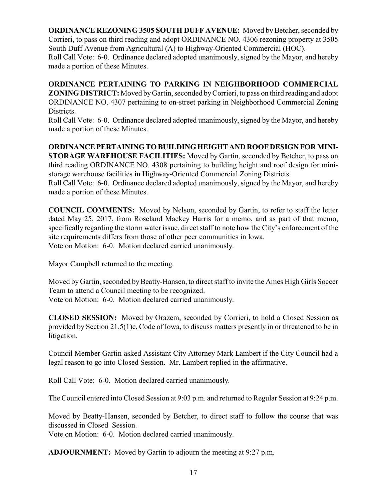**ORDINANCE REZONING 3505 SOUTH DUFF AVENUE:** Moved by Betcher, seconded by Corrieri, to pass on third reading and adopt ORDINANCE NO. 4306 rezoning property at 3505 South Duff Avenue from Agricultural (A) to Highway-Oriented Commercial (HOC).

Roll Call Vote: 6-0. Ordinance declared adopted unanimously, signed by the Mayor, and hereby made a portion of these Minutes.

**ORDINANCE PERTAINING TO PARKING IN NEIGHBORHOOD COMMERCIAL ZONING DISTRICT:** Moved by Gartin, seconded by Corrieri, to pass on third reading and adopt ORDINANCE NO. 4307 pertaining to on-street parking in Neighborhood Commercial Zoning Districts.

Roll Call Vote: 6-0. Ordinance declared adopted unanimously, signed by the Mayor, and hereby made a portion of these Minutes.

## **ORDINANCE PERTAININGTO BUILDINGHEIGHT AND ROOF DESIGN FOR MINI-STORAGE WAREHOUSE FACILITIES:** Moved by Gartin, seconded by Betcher, to pass on third reading ORDINANCE NO. 4308 pertaining to building height and roof design for ministorage warehouse facilities in Highway-Oriented Commercial Zoning Districts.

Roll Call Vote: 6-0. Ordinance declared adopted unanimously, signed by the Mayor, and hereby made a portion of these Minutes.

**COUNCIL COMMENTS:** Moved by Nelson, seconded by Gartin, to refer to staff the letter dated May 25, 2017, from Roseland Mackey Harris for a memo, and as part of that memo, specifically regarding the storm water issue, direct staff to note how the City's enforcement of the site requirements differs from those of other peer communities in Iowa. Vote on Motion: 6-0. Motion declared carried unanimously.

Mayor Campbell returned to the meeting.

Moved by Gartin, seconded by Beatty-Hansen, to direct staff to invite the Ames High Girls Soccer Team to attend a Council meeting to be recognized.

Vote on Motion: 6-0. Motion declared carried unanimously.

**CLOSED SESSION:** Moved by Orazem, seconded by Corrieri, to hold a Closed Session as provided by Section 21.5(1)c, Code of Iowa, to discuss matters presently in or threatened to be in litigation.

Council Member Gartin asked Assistant City Attorney Mark Lambert if the City Council had a legal reason to go into Closed Session. Mr. Lambert replied in the affirmative.

Roll Call Vote: 6-0. Motion declared carried unanimously.

The Council entered into Closed Session at 9:03 p.m. and returned to Regular Session at 9:24 p.m.

Moved by Beatty-Hansen, seconded by Betcher, to direct staff to follow the course that was discussed in Closed Session.

Vote on Motion: 6-0. Motion declared carried unanimously.

**ADJOURNMENT:** Moved by Gartin to adjourn the meeting at 9:27 p.m.